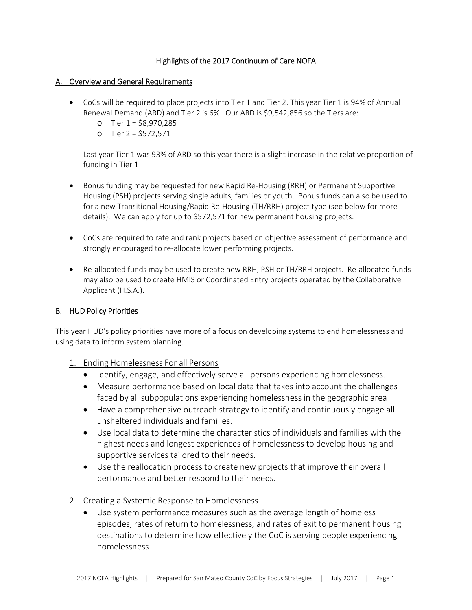# Highlights of the 2017 Continuum of Care NOFA

# A. Overview and General Requirements

- CoCs will be required to place projects into Tier 1 and Tier 2. This year Tier 1 is 94% of Annual Renewal Demand (ARD) and Tier 2 is 6%. Our ARD is \$9,542,856 so the Tiers are:
	- o Tier 1 = \$8,970,285
	- o Tier 2 = \$572,571

Last year Tier 1 was 93% of ARD so this year there is a slight increase in the relative proportion of funding in Tier 1

- Bonus funding may be requested for new Rapid Re-Housing (RRH) or Permanent Supportive Housing (PSH) projects serving single adults, families or youth. Bonus funds can also be used to for a new Transitional Housing/Rapid Re‐Housing (TH/RRH) project type (see below for more details). We can apply for up to \$572,571 for new permanent housing projects.
- CoCs are required to rate and rank projects based on objective assessment of performance and strongly encouraged to re‐allocate lower performing projects.
- Re-allocated funds may be used to create new RRH, PSH or TH/RRH projects. Re-allocated funds may also be used to create HMIS or Coordinated Entry projects operated by the Collaborative Applicant (H.S.A.).

### B. HUD Policy Priorities

This year HUD's policy priorities have more of a focus on developing systems to end homelessness and using data to inform system planning.

- 1. Ending Homelessness For all Persons
	- Identify, engage, and effectively serve all persons experiencing homelessness.
	- Measure performance based on local data that takes into account the challenges faced by all subpopulations experiencing homelessness in the geographic area
	- Have a comprehensive outreach strategy to identify and continuously engage all unsheltered individuals and families.
	- Use local data to determine the characteristics of individuals and families with the highest needs and longest experiences of homelessness to develop housing and supportive services tailored to their needs.
	- Use the reallocation process to create new projects that improve their overall performance and better respond to their needs.
- 2. Creating a Systemic Response to Homelessness
	- Use system performance measures such as the average length of homeless episodes, rates of return to homelessness, and rates of exit to permanent housing destinations to determine how effectively the CoC is serving people experiencing homelessness.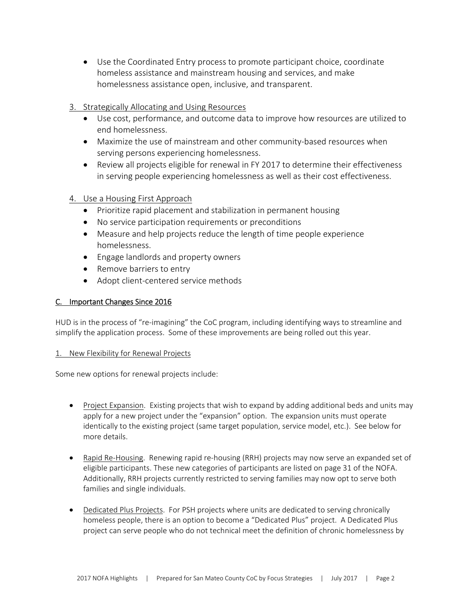- Use the Coordinated Entry process to promote participant choice, coordinate homeless assistance and mainstream housing and services, and make homelessness assistance open, inclusive, and transparent.
- 3. Strategically Allocating and Using Resources
	- Use cost, performance, and outcome data to improve how resources are utilized to end homelessness.
	- Maximize the use of mainstream and other community-based resources when serving persons experiencing homelessness.
	- Review all projects eligible for renewal in FY 2017 to determine their effectiveness in serving people experiencing homelessness as well as their cost effectiveness.
- 4. Use a Housing First Approach
	- Prioritize rapid placement and stabilization in permanent housing
	- No service participation requirements or preconditions
	- Measure and help projects reduce the length of time people experience homelessness.
	- Engage landlords and property owners
	- Remove barriers to entry
	- Adopt client-centered service methods

# C. Important Changes Since 2016

HUD is in the process of "re-imagining" the CoC program, including identifying ways to streamline and simplify the application process. Some of these improvements are being rolled out this year.

### 1. New Flexibility for Renewal Projects

Some new options for renewal projects include:

- Project Expansion. Existing projects that wish to expand by adding additional beds and units may apply for a new project under the "expansion" option. The expansion units must operate identically to the existing project (same target population, service model, etc.). See below for more details.
- Rapid Re-Housing. Renewing rapid re-housing (RRH) projects may now serve an expanded set of eligible participants. These new categories of participants are listed on page 31 of the NOFA. Additionally, RRH projects currently restricted to serving families may now opt to serve both families and single individuals.
- Dedicated Plus Projects. For PSH projects where units are dedicated to serving chronically homeless people, there is an option to become a "Dedicated Plus" project. A Dedicated Plus project can serve people who do not technical meet the definition of chronic homelessness by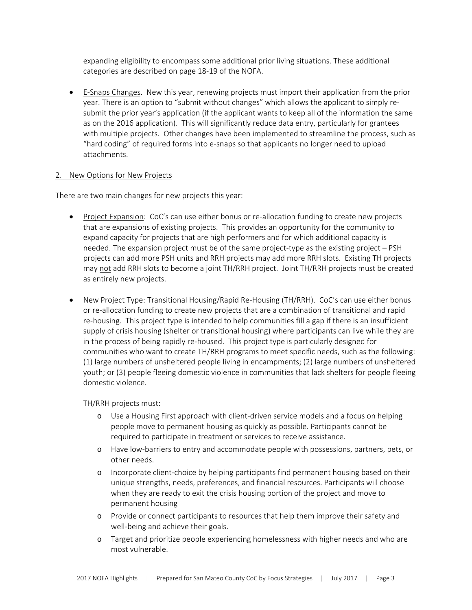expanding eligibility to encompass some additional prior living situations. These additional categories are described on page 18‐19 of the NOFA.

 E‐Snaps Changes. New this year, renewing projects must import their application from the prior year. There is an option to "submit without changes" which allows the applicant to simply re‐ submit the prior year's application (if the applicant wants to keep all of the information the same as on the 2016 application). This will significantly reduce data entry, particularly for grantees with multiple projects. Other changes have been implemented to streamline the process, such as "hard coding" of required forms into e‐snaps so that applicants no longer need to upload attachments.

### 2. New Options for New Projects

There are two main changes for new projects this year:

- Project Expansion: CoC's can use either bonus or re-allocation funding to create new projects that are expansions of existing projects. This provides an opportunity for the community to expand capacity for projects that are high performers and for which additional capacity is needed. The expansion project must be of the same project‐type as the existing project – PSH projects can add more PSH units and RRH projects may add more RRH slots. Existing TH projects may not add RRH slots to become a joint TH/RRH project. Joint TH/RRH projects must be created as entirely new projects.
- New Project Type: Transitional Housing/Rapid Re-Housing (TH/RRH). CoC's can use either bonus or re‐allocation funding to create new projects that are a combination of transitional and rapid re-housing. This project type is intended to help communities fill a gap if there is an insufficient supply of crisis housing (shelter or transitional housing) where participants can live while they are in the process of being rapidly re‐housed. This project type is particularly designed for communities who want to create TH/RRH programs to meet specific needs, such as the following: (1) large numbers of unsheltered people living in encampments; (2) large numbers of unsheltered youth; or (3) people fleeing domestic violence in communities that lack shelters for people fleeing domestic violence.

TH/RRH projects must:

- o Use a Housing First approach with client‐driven service models and a focus on helping people move to permanent housing as quickly as possible. Participants cannot be required to participate in treatment or services to receive assistance.
- o Have low‐barriers to entry and accommodate people with possessions, partners, pets, or other needs.
- o Incorporate client‐choice by helping participants find permanent housing based on their unique strengths, needs, preferences, and financial resources. Participants will choose when they are ready to exit the crisis housing portion of the project and move to permanent housing
- o Provide or connect participants to resources that help them improve their safety and well-being and achieve their goals.
- o Target and prioritize people experiencing homelessness with higher needs and who are most vulnerable.